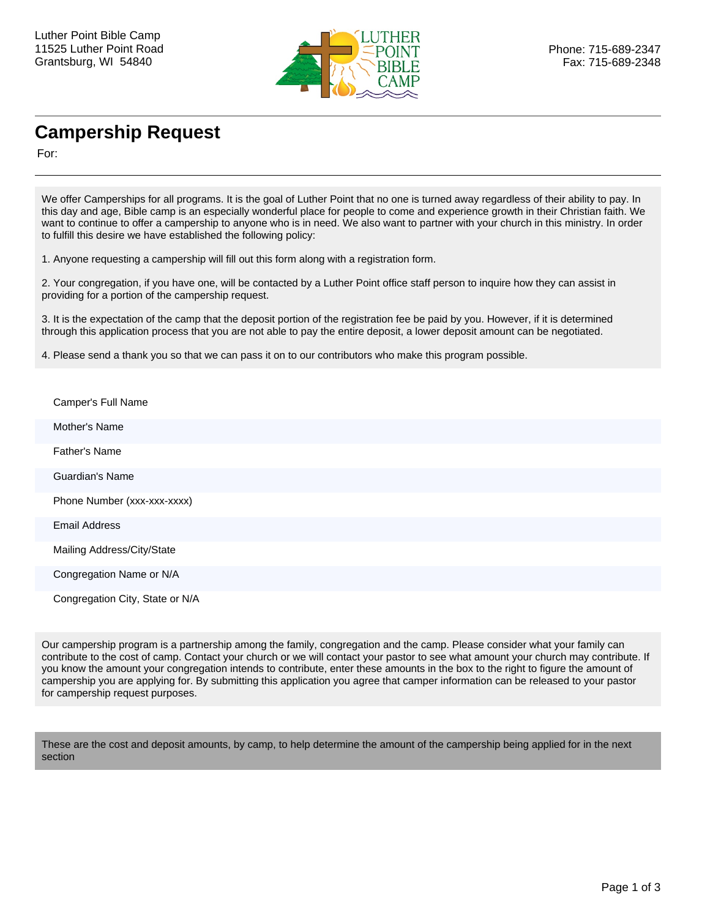

## **Campership Request**

For:

We offer Camperships for all programs. It is the goal of Luther Point that no one is turned away regardless of their ability to pay. In this day and age, Bible camp is an especially wonderful place for people to come and experience growth in their Christian faith. We want to continue to offer a campership to anyone who is in need. We also want to partner with your church in this ministry. In order to fulfill this desire we have established the following policy:

1. Anyone requesting a campership will fill out this form along with a registration form.

2. Your congregation, if you have one, will be contacted by a Luther Point office staff person to inquire how they can assist in providing for a portion of the campership request.

3. It is the expectation of the camp that the deposit portion of the registration fee be paid by you. However, if it is determined through this application process that you are not able to pay the entire deposit, a lower deposit amount can be negotiated.

4. Please send a thank you so that we can pass it on to our contributors who make this program possible.

| Camper's Full Name              |
|---------------------------------|
| Mother's Name                   |
| <b>Father's Name</b>            |
| <b>Guardian's Name</b>          |
| Phone Number (xxx-xxx-xxxx)     |
| <b>Email Address</b>            |
| Mailing Address/City/State      |
| Congregation Name or N/A        |
| Congregation City, State or N/A |

Our campership program is a partnership among the family, congregation and the camp. Please consider what your family can contribute to the cost of camp. Contact your church or we will contact your pastor to see what amount your church may contribute. If you know the amount your congregation intends to contribute, enter these amounts in the box to the right to figure the amount of campership you are applying for. By submitting this application you agree that camper information can be released to your pastor for campership request purposes.

These are the cost and deposit amounts, by camp, to help determine the amount of the campership being applied for in the next section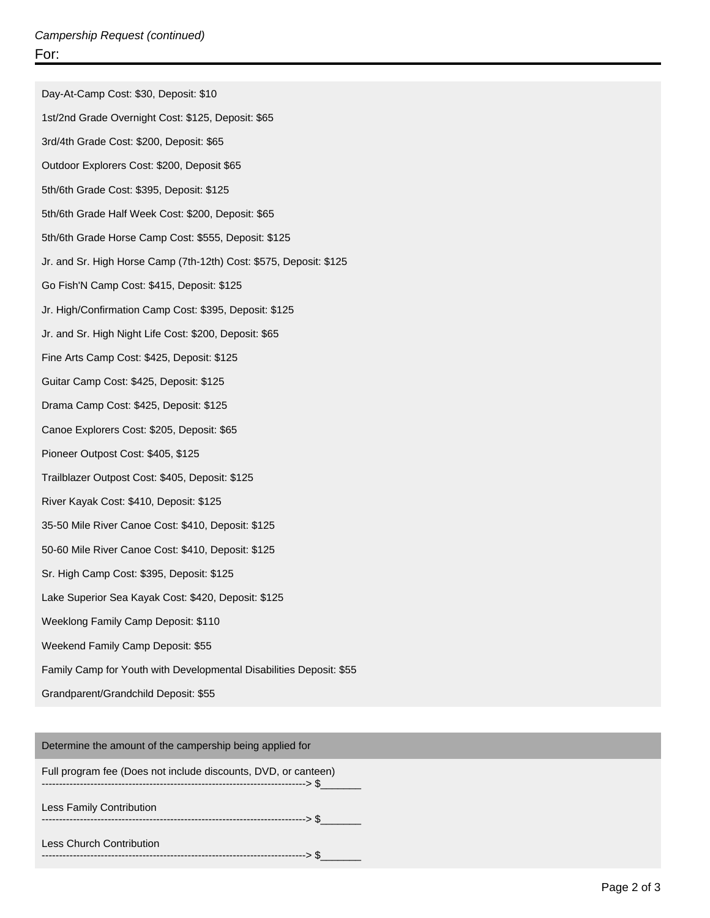Day-At-Camp Cost: \$30, Deposit: \$10 1st/2nd Grade Overnight Cost: \$125, Deposit: \$65 3rd/4th Grade Cost: \$200, Deposit: \$65 Outdoor Explorers Cost: \$200, Deposit \$65 5th/6th Grade Cost: \$395, Deposit: \$125 5th/6th Grade Half Week Cost: \$200, Deposit: \$65 5th/6th Grade Horse Camp Cost: \$555, Deposit: \$125 Jr. and Sr. High Horse Camp (7th-12th) Cost: \$575, Deposit: \$125 Go Fish'N Camp Cost: \$415, Deposit: \$125 Jr. High/Confirmation Camp Cost: \$395, Deposit: \$125 Jr. and Sr. High Night Life Cost: \$200, Deposit: \$65 Fine Arts Camp Cost: \$425, Deposit: \$125 Guitar Camp Cost: \$425, Deposit: \$125 Drama Camp Cost: \$425, Deposit: \$125 Canoe Explorers Cost: \$205, Deposit: \$65 Pioneer Outpost Cost: \$405, \$125 Trailblazer Outpost Cost: \$405, Deposit: \$125 River Kayak Cost: \$410, Deposit: \$125 35-50 Mile River Canoe Cost: \$410, Deposit: \$125 50-60 Mile River Canoe Cost: \$410, Deposit: \$125 Sr. High Camp Cost: \$395, Deposit: \$125 Lake Superior Sea Kayak Cost: \$420, Deposit: \$125 Weeklong Family Camp Deposit: \$110 Weekend Family Camp Deposit: \$55 Family Camp for Youth with Developmental Disabilities Deposit: \$55 Grandparent/Grandchild Deposit: \$55

Determine the amount of the campership being applied for

Full program fee (Does not include discounts, DVD, or canteen) ----------------------------------------------------------------------------> \$\_\_\_\_\_\_\_

Less Family Contribution

----------------------------------------------------------------------------> \$\_\_\_\_\_\_\_

----------------------------------------------------------------------------> \$\_\_\_\_\_\_\_

Less Church Contribution